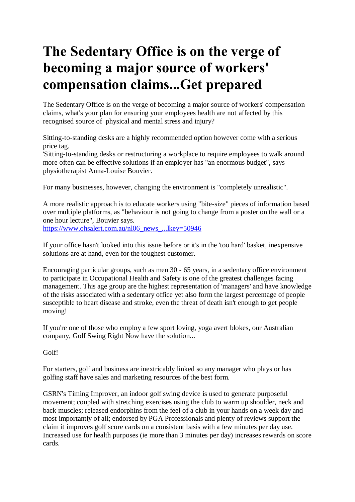## **The Sedentary Office is on the verge of becoming a major source of workers' compensation claims...Get prepared**

The Sedentary Office is on the verge of becoming a major source of workers' compensation claims, what's your plan for ensuring your employees health are not affected by this recognised source of physical and mental stress and injury?

Sitting-to-standing desks are a highly recommended option however come with a serious price tag.

'Sitting-to-standing desks or restructuring a workplace to require employees to walk around more often can be effective solutions if an employer has "an enormous budget", says physiotherapist Anna-Louise Bouvier.

For many businesses, however, changing the environment is "completely unrealistic".

A more realistic approach is to educate workers using "bite-size" pieces of information based over multiple platforms, as "behaviour is not going to change from a poster on the wall or a one hour lecture", Bouvier says. [https://www.ohsalert.com.au/nl06\\_news\\_...lkey=50946](https://www.ohsalert.com.au/nl06_news_...lkey=50946)

If your office hasn't looked into this issue before or it's in the 'too hard' basket, inexpensive solutions are at hand, even for the toughest customer.

Encouraging particular groups, such as men 30 - 65 years, in a sedentary office environment to participate in Occupational Health and Safety is one of the greatest challenges facing management. This age group are the highest representation of 'managers' and have knowledge of the risks associated with a sedentary office yet also form the largest percentage of people susceptible to heart disease and stroke, even the threat of death isn't enough to get people moving!

If you're one of those who employ a few sport loving, yoga avert blokes, our Australian company, Golf Swing Right Now have the solution...

Golf!

For starters, golf and business are inextricably linked so any manager who plays or has golfing staff have sales and marketing resources of the best form.

GSRN's Timing Improver, an indoor golf swing device is used to generate purposeful movement; coupled with stretching exercises using the club to warm up shoulder, neck and back muscles; released endorphins from the feel of a club in your hands on a week day and most importantly of all; endorsed by PGA Professionals and plenty of reviews support the claim it improves golf score cards on a consistent basis with a few minutes per day use. Increased use for health purposes (ie more than 3 minutes per day) increases rewards on score cards.